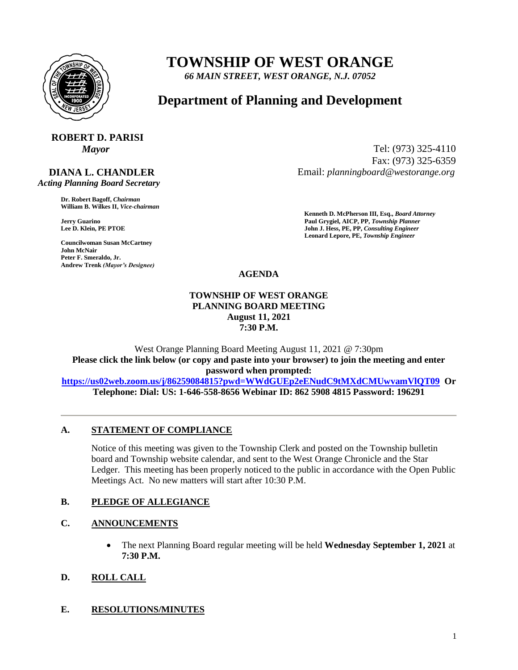

# **TOWNSHIP OF WEST ORANGE**

*66 MAIN STREET, WEST ORANGE, N.J. 07052*

## **Department of Planning and Development**

# **ROBERT D. PARISI**

#### **DIANA L. CHANDLER**  *Acting Planning Board Secretary*

**Dr. Robert Bagoff,** *Chairman*  **William B. Wilkes II,** *Vice-chairman* 

**Councilwoman Susan McCartney John McNair Peter F. Smeraldo, Jr. Andrew Trenk** *(Mayor's Designee)*

*Mayor* Tel: (973) 325-4110 Fax: (973) 325-6359 Email: *planningboard@westorange.org*

**Kenneth D. McPherson III, Esq.,** *Board Attorney*  **Jerry Guarino Paul Grygiel, AICP, PP,** *Township Planner*  **John J. Hess, PE, PP,** *Consulting Engineer* **Leonard Lepore, PE,** *Township Engineer* 

**AGENDA**

#### **TOWNSHIP OF WEST ORANGE PLANNING BOARD MEETING August 11, 2021 7:30 P.M.**

West Orange Planning Board Meeting August 11, 2021 @ 7:30pm **Please click the link below (or copy and paste into your browser) to join the meeting and enter password when prompted:** 

**<https://us02web.zoom.us/j/86259084815?pwd=WWdGUEp2eENudC9tMXdCMUwvamVlQT09> Or Telephone: Dial: US: 1-646-558-8656 Webinar ID: 862 5908 4815 Password: 196291**

#### **A. STATEMENT OF COMPLIANCE**

Notice of this meeting was given to the Township Clerk and posted on the Township bulletin board and Township website calendar, and sent to the West Orange Chronicle and the Star Ledger. This meeting has been properly noticed to the public in accordance with the Open Public Meetings Act. No new matters will start after 10:30 P.M.

#### **B. PLEDGE OF ALLEGIANCE**

#### **C. ANNOUNCEMENTS**

 The next Planning Board regular meeting will be held **Wednesday September 1, 2021** at **7:30 P.M.**

### **D. ROLL CALL**

#### **E. RESOLUTIONS/MINUTES**